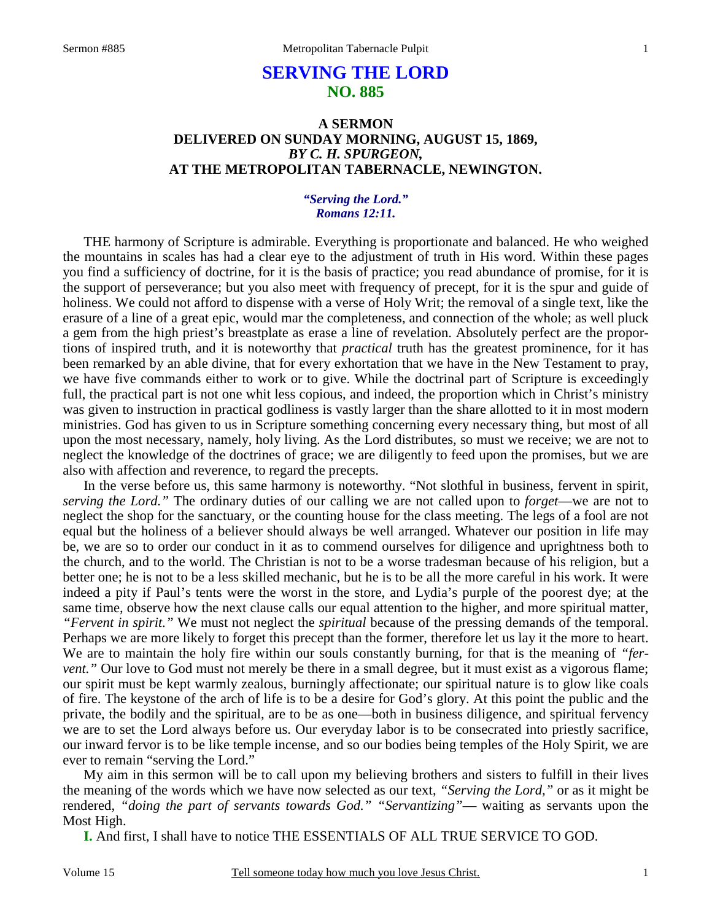# **SERVING THE LORD NO. 885**

### **A SERMON DELIVERED ON SUNDAY MORNING, AUGUST 15, 1869,**  *BY C. H. SPURGEON,*  **AT THE METROPOLITAN TABERNACLE, NEWINGTON.**

### *"Serving the Lord." Romans 12:11.*

THE harmony of Scripture is admirable. Everything is proportionate and balanced. He who weighed the mountains in scales has had a clear eye to the adjustment of truth in His word. Within these pages you find a sufficiency of doctrine, for it is the basis of practice; you read abundance of promise, for it is the support of perseverance; but you also meet with frequency of precept, for it is the spur and guide of holiness. We could not afford to dispense with a verse of Holy Writ; the removal of a single text, like the erasure of a line of a great epic, would mar the completeness, and connection of the whole; as well pluck a gem from the high priest's breastplate as erase a line of revelation. Absolutely perfect are the proportions of inspired truth, and it is noteworthy that *practical* truth has the greatest prominence, for it has been remarked by an able divine, that for every exhortation that we have in the New Testament to pray, we have five commands either to work or to give. While the doctrinal part of Scripture is exceedingly full, the practical part is not one whit less copious, and indeed, the proportion which in Christ's ministry was given to instruction in practical godliness is vastly larger than the share allotted to it in most modern ministries. God has given to us in Scripture something concerning every necessary thing, but most of all upon the most necessary, namely, holy living. As the Lord distributes, so must we receive; we are not to neglect the knowledge of the doctrines of grace; we are diligently to feed upon the promises, but we are also with affection and reverence, to regard the precepts.

 In the verse before us, this same harmony is noteworthy. "Not slothful in business, fervent in spirit, *serving the Lord."* The ordinary duties of our calling we are not called upon to *forget*—we are not to neglect the shop for the sanctuary, or the counting house for the class meeting. The legs of a fool are not equal but the holiness of a believer should always be well arranged. Whatever our position in life may be, we are so to order our conduct in it as to commend ourselves for diligence and uprightness both to the church, and to the world. The Christian is not to be a worse tradesman because of his religion, but a better one; he is not to be a less skilled mechanic, but he is to be all the more careful in his work. It were indeed a pity if Paul's tents were the worst in the store, and Lydia's purple of the poorest dye; at the same time, observe how the next clause calls our equal attention to the higher, and more spiritual matter, *"Fervent in spirit."* We must not neglect the *spiritual* because of the pressing demands of the temporal. Perhaps we are more likely to forget this precept than the former, therefore let us lay it the more to heart. We are to maintain the holy fire within our souls constantly burning, for that is the meaning of *"fervent.*" Our love to God must not merely be there in a small degree, but it must exist as a vigorous flame; our spirit must be kept warmly zealous, burningly affectionate; our spiritual nature is to glow like coals of fire. The keystone of the arch of life is to be a desire for God's glory. At this point the public and the private, the bodily and the spiritual, are to be as one—both in business diligence, and spiritual fervency we are to set the Lord always before us. Our everyday labor is to be consecrated into priestly sacrifice, our inward fervor is to be like temple incense, and so our bodies being temples of the Holy Spirit, we are ever to remain "serving the Lord."

 My aim in this sermon will be to call upon my believing brothers and sisters to fulfill in their lives the meaning of the words which we have now selected as our text, *"Serving the Lord,"* or as it might be rendered, *"doing the part of servants towards God." "Servantizing"*— waiting as servants upon the Most High.

**I.** And first, I shall have to notice THE ESSENTIALS OF ALL TRUE SERVICE TO GOD.

Volume 15 Tell someone today how much you love Jesus Christ.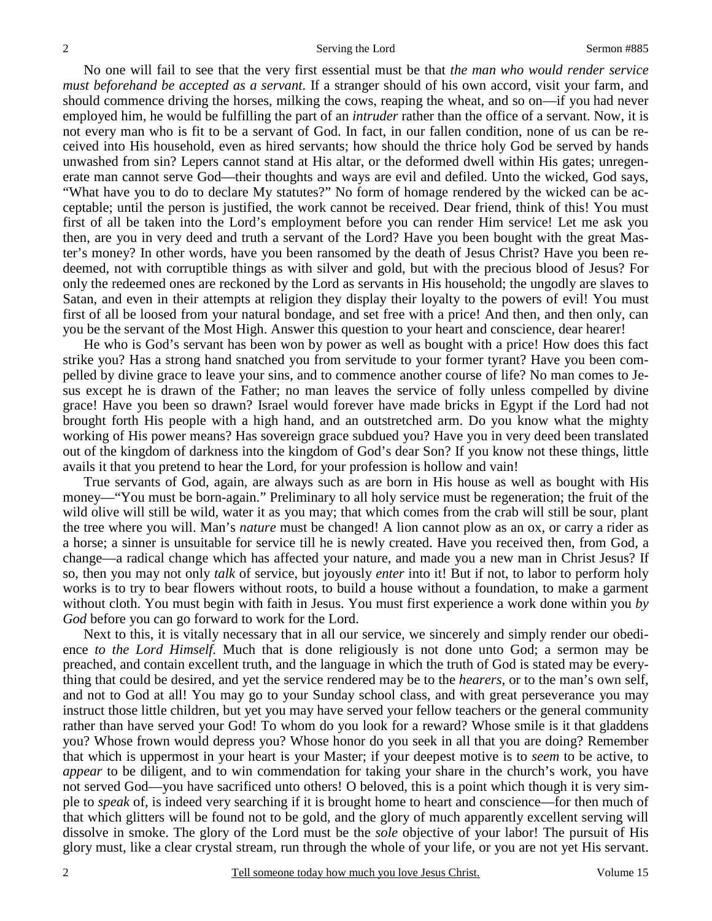No one will fail to see that the very first essential must be that *the man who would render service must beforehand be accepted as a servant*. If a stranger should of his own accord, visit your farm, and should commence driving the horses, milking the cows, reaping the wheat, and so on—if you had never employed him, he would be fulfilling the part of an *intruder* rather than the office of a servant. Now, it is not every man who is fit to be a servant of God. In fact, in our fallen condition, none of us can be received into His household, even as hired servants; how should the thrice holy God be served by hands unwashed from sin? Lepers cannot stand at His altar, or the deformed dwell within His gates; unregenerate man cannot serve God—their thoughts and ways are evil and defiled. Unto the wicked, God says, "What have you to do to declare My statutes?" No form of homage rendered by the wicked can be acceptable; until the person is justified, the work cannot be received. Dear friend, think of this! You must first of all be taken into the Lord's employment before you can render Him service! Let me ask you then, are you in very deed and truth a servant of the Lord? Have you been bought with the great Master's money? In other words, have you been ransomed by the death of Jesus Christ? Have you been redeemed, not with corruptible things as with silver and gold, but with the precious blood of Jesus? For only the redeemed ones are reckoned by the Lord as servants in His household; the ungodly are slaves to Satan, and even in their attempts at religion they display their loyalty to the powers of evil! You must first of all be loosed from your natural bondage, and set free with a price! And then, and then only, can you be the servant of the Most High. Answer this question to your heart and conscience, dear hearer!

 He who is God's servant has been won by power as well as bought with a price! How does this fact strike you? Has a strong hand snatched you from servitude to your former tyrant? Have you been compelled by divine grace to leave your sins, and to commence another course of life? No man comes to Jesus except he is drawn of the Father; no man leaves the service of folly unless compelled by divine grace! Have you been so drawn? Israel would forever have made bricks in Egypt if the Lord had not brought forth His people with a high hand, and an outstretched arm. Do you know what the mighty working of His power means? Has sovereign grace subdued you? Have you in very deed been translated out of the kingdom of darkness into the kingdom of God's dear Son? If you know not these things, little avails it that you pretend to hear the Lord, for your profession is hollow and vain!

 True servants of God, again, are always such as are born in His house as well as bought with His money—"You must be born-again." Preliminary to all holy service must be regeneration; the fruit of the wild olive will still be wild, water it as you may; that which comes from the crab will still be sour, plant the tree where you will. Man's *nature* must be changed! A lion cannot plow as an ox, or carry a rider as a horse; a sinner is unsuitable for service till he is newly created. Have you received then, from God, a change—a radical change which has affected your nature, and made you a new man in Christ Jesus? If so, then you may not only *talk* of service, but joyously *enter* into it! But if not, to labor to perform holy works is to try to bear flowers without roots, to build a house without a foundation, to make a garment without cloth. You must begin with faith in Jesus. You must first experience a work done within you *by God* before you can go forward to work for the Lord.

 Next to this, it is vitally necessary that in all our service, we sincerely and simply render our obedience *to the Lord Himself.* Much that is done religiously is not done unto God; a sermon may be preached, and contain excellent truth, and the language in which the truth of God is stated may be everything that could be desired, and yet the service rendered may be to the *hearers*, or to the man's own self, and not to God at all! You may go to your Sunday school class, and with great perseverance you may instruct those little children, but yet you may have served your fellow teachers or the general community rather than have served your God! To whom do you look for a reward? Whose smile is it that gladdens you? Whose frown would depress you? Whose honor do you seek in all that you are doing? Remember that which is uppermost in your heart is your Master; if your deepest motive is to *seem* to be active, to *appear* to be diligent, and to win commendation for taking your share in the church's work, you have not served God—you have sacrificed unto others! O beloved, this is a point which though it is very simple to *speak* of, is indeed very searching if it is brought home to heart and conscience—for then much of that which glitters will be found not to be gold, and the glory of much apparently excellent serving will dissolve in smoke. The glory of the Lord must be the *sole* objective of your labor! The pursuit of His glory must, like a clear crystal stream, run through the whole of your life, or you are not yet His servant.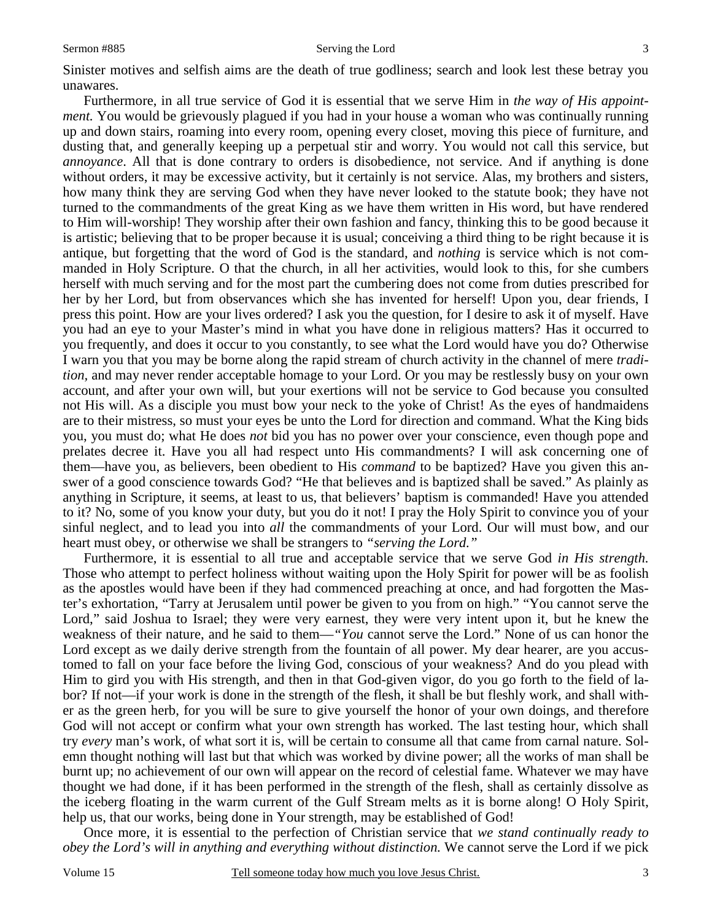#### Sermon #885 Serving the Lord

Sinister motives and selfish aims are the death of true godliness; search and look lest these betray you unawares.

 Furthermore, in all true service of God it is essential that we serve Him in *the way of His appointment.* You would be grievously plagued if you had in your house a woman who was continually running up and down stairs, roaming into every room, opening every closet, moving this piece of furniture, and dusting that, and generally keeping up a perpetual stir and worry. You would not call this service, but *annoyance*. All that is done contrary to orders is disobedience, not service. And if anything is done without orders, it may be excessive activity, but it certainly is not service. Alas, my brothers and sisters, how many think they are serving God when they have never looked to the statute book; they have not turned to the commandments of the great King as we have them written in His word, but have rendered to Him will-worship! They worship after their own fashion and fancy, thinking this to be good because it is artistic; believing that to be proper because it is usual; conceiving a third thing to be right because it is antique, but forgetting that the word of God is the standard, and *nothing* is service which is not commanded in Holy Scripture. O that the church, in all her activities, would look to this, for she cumbers herself with much serving and for the most part the cumbering does not come from duties prescribed for her by her Lord, but from observances which she has invented for herself! Upon you, dear friends, I press this point. How are your lives ordered? I ask you the question, for I desire to ask it of myself. Have you had an eye to your Master's mind in what you have done in religious matters? Has it occurred to you frequently, and does it occur to you constantly, to see what the Lord would have you do? Otherwise I warn you that you may be borne along the rapid stream of church activity in the channel of mere *tradition,* and may never render acceptable homage to your Lord. Or you may be restlessly busy on your own account, and after your own will, but your exertions will not be service to God because you consulted not His will. As a disciple you must bow your neck to the yoke of Christ! As the eyes of handmaidens are to their mistress, so must your eyes be unto the Lord for direction and command. What the King bids you, you must do; what He does *not* bid you has no power over your conscience, even though pope and prelates decree it. Have you all had respect unto His commandments? I will ask concerning one of them—have you, as believers, been obedient to His *command* to be baptized? Have you given this answer of a good conscience towards God? "He that believes and is baptized shall be saved." As plainly as anything in Scripture, it seems, at least to us, that believers' baptism is commanded! Have you attended to it? No, some of you know your duty, but you do it not! I pray the Holy Spirit to convince you of your sinful neglect, and to lead you into *all* the commandments of your Lord. Our will must bow, and our heart must obey, or otherwise we shall be strangers to *"serving the Lord."*

 Furthermore, it is essential to all true and acceptable service that we serve God *in His strength.*  Those who attempt to perfect holiness without waiting upon the Holy Spirit for power will be as foolish as the apostles would have been if they had commenced preaching at once, and had forgotten the Master's exhortation, "Tarry at Jerusalem until power be given to you from on high." "You cannot serve the Lord," said Joshua to Israel; they were very earnest, they were very intent upon it, but he knew the weakness of their nature, and he said to them—*"You* cannot serve the Lord." None of us can honor the Lord except as we daily derive strength from the fountain of all power. My dear hearer, are you accustomed to fall on your face before the living God, conscious of your weakness? And do you plead with Him to gird you with His strength, and then in that God-given vigor, do you go forth to the field of labor? If not—if your work is done in the strength of the flesh, it shall be but fleshly work, and shall wither as the green herb, for you will be sure to give yourself the honor of your own doings, and therefore God will not accept or confirm what your own strength has worked. The last testing hour, which shall try *every* man's work, of what sort it is, will be certain to consume all that came from carnal nature. Solemn thought nothing will last but that which was worked by divine power; all the works of man shall be burnt up; no achievement of our own will appear on the record of celestial fame. Whatever we may have thought we had done, if it has been performed in the strength of the flesh, shall as certainly dissolve as the iceberg floating in the warm current of the Gulf Stream melts as it is borne along! O Holy Spirit, help us, that our works, being done in Your strength, may be established of God!

 Once more, it is essential to the perfection of Christian service that *we stand continually ready to obey the Lord's will in anything and everything without distinction.* We cannot serve the Lord if we pick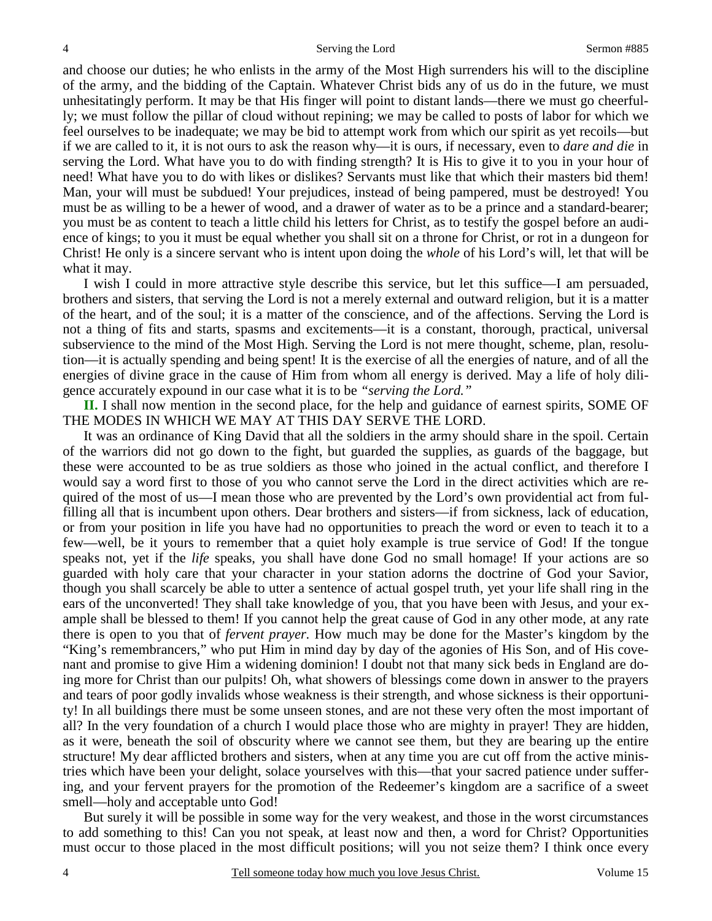and choose our duties; he who enlists in the army of the Most High surrenders his will to the discipline of the army, and the bidding of the Captain. Whatever Christ bids any of us do in the future, we must unhesitatingly perform. It may be that His finger will point to distant lands—there we must go cheerfully; we must follow the pillar of cloud without repining; we may be called to posts of labor for which we feel ourselves to be inadequate; we may be bid to attempt work from which our spirit as yet recoils—but if we are called to it, it is not ours to ask the reason why—it is ours, if necessary, even to *dare and die* in serving the Lord. What have you to do with finding strength? It is His to give it to you in your hour of need! What have you to do with likes or dislikes? Servants must like that which their masters bid them! Man, your will must be subdued! Your prejudices, instead of being pampered, must be destroyed! You must be as willing to be a hewer of wood, and a drawer of water as to be a prince and a standard-bearer; you must be as content to teach a little child his letters for Christ, as to testify the gospel before an audience of kings; to you it must be equal whether you shall sit on a throne for Christ, or rot in a dungeon for Christ! He only is a sincere servant who is intent upon doing the *whole* of his Lord's will, let that will be what it may.

 I wish I could in more attractive style describe this service, but let this suffice—I am persuaded, brothers and sisters, that serving the Lord is not a merely external and outward religion, but it is a matter of the heart, and of the soul; it is a matter of the conscience, and of the affections. Serving the Lord is not a thing of fits and starts, spasms and excitements—it is a constant, thorough, practical, universal subservience to the mind of the Most High. Serving the Lord is not mere thought, scheme, plan, resolution—it is actually spending and being spent! It is the exercise of all the energies of nature, and of all the energies of divine grace in the cause of Him from whom all energy is derived. May a life of holy diligence accurately expound in our case what it is to be *"serving the Lord."*

**II.** I shall now mention in the second place, for the help and guidance of earnest spirits, SOME OF THE MODES IN WHICH WE MAY AT THIS DAY SERVE THE LORD.

 It was an ordinance of King David that all the soldiers in the army should share in the spoil. Certain of the warriors did not go down to the fight, but guarded the supplies, as guards of the baggage, but these were accounted to be as true soldiers as those who joined in the actual conflict, and therefore I would say a word first to those of you who cannot serve the Lord in the direct activities which are required of the most of us—I mean those who are prevented by the Lord's own providential act from fulfilling all that is incumbent upon others. Dear brothers and sisters—if from sickness, lack of education, or from your position in life you have had no opportunities to preach the word or even to teach it to a few—well, be it yours to remember that a quiet holy example is true service of God! If the tongue speaks not, yet if the *life* speaks, you shall have done God no small homage! If your actions are so guarded with holy care that your character in your station adorns the doctrine of God your Savior, though you shall scarcely be able to utter a sentence of actual gospel truth, yet your life shall ring in the ears of the unconverted! They shall take knowledge of you, that you have been with Jesus, and your example shall be blessed to them! If you cannot help the great cause of God in any other mode, at any rate there is open to you that of *fervent prayer.* How much may be done for the Master's kingdom by the "King's remembrancers," who put Him in mind day by day of the agonies of His Son, and of His covenant and promise to give Him a widening dominion! I doubt not that many sick beds in England are doing more for Christ than our pulpits! Oh, what showers of blessings come down in answer to the prayers and tears of poor godly invalids whose weakness is their strength, and whose sickness is their opportunity! In all buildings there must be some unseen stones, and are not these very often the most important of all? In the very foundation of a church I would place those who are mighty in prayer! They are hidden, as it were, beneath the soil of obscurity where we cannot see them, but they are bearing up the entire structure! My dear afflicted brothers and sisters, when at any time you are cut off from the active ministries which have been your delight, solace yourselves with this—that your sacred patience under suffering, and your fervent prayers for the promotion of the Redeemer's kingdom are a sacrifice of a sweet smell—holy and acceptable unto God!

 But surely it will be possible in some way for the very weakest, and those in the worst circumstances to add something to this! Can you not speak, at least now and then, a word for Christ? Opportunities must occur to those placed in the most difficult positions; will you not seize them? I think once every

4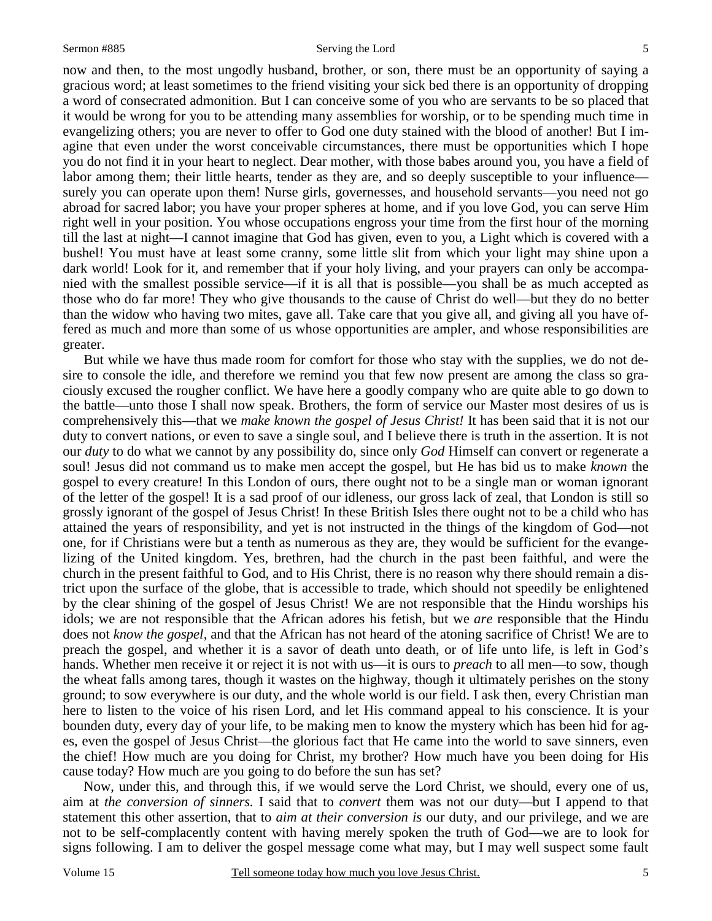now and then, to the most ungodly husband, brother, or son, there must be an opportunity of saying a gracious word; at least sometimes to the friend visiting your sick bed there is an opportunity of dropping a word of consecrated admonition. But I can conceive some of you who are servants to be so placed that it would be wrong for you to be attending many assemblies for worship, or to be spending much time in evangelizing others; you are never to offer to God one duty stained with the blood of another! But I imagine that even under the worst conceivable circumstances, there must be opportunities which I hope you do not find it in your heart to neglect. Dear mother, with those babes around you, you have a field of labor among them; their little hearts, tender as they are, and so deeply susceptible to your influence surely you can operate upon them! Nurse girls, governesses, and household servants—you need not go abroad for sacred labor; you have your proper spheres at home, and if you love God, you can serve Him right well in your position. You whose occupations engross your time from the first hour of the morning till the last at night—I cannot imagine that God has given, even to you, a Light which is covered with a bushel! You must have at least some cranny, some little slit from which your light may shine upon a dark world! Look for it, and remember that if your holy living, and your prayers can only be accompanied with the smallest possible service—if it is all that is possible—you shall be as much accepted as those who do far more! They who give thousands to the cause of Christ do well—but they do no better than the widow who having two mites, gave all. Take care that you give all, and giving all you have offered as much and more than some of us whose opportunities are ampler, and whose responsibilities are greater.

 But while we have thus made room for comfort for those who stay with the supplies, we do not desire to console the idle, and therefore we remind you that few now present are among the class so graciously excused the rougher conflict. We have here a goodly company who are quite able to go down to the battle—unto those I shall now speak. Brothers, the form of service our Master most desires of us is comprehensively this—that we *make known the gospel of Jesus Christ!* It has been said that it is not our duty to convert nations, or even to save a single soul, and I believe there is truth in the assertion. It is not our *duty* to do what we cannot by any possibility do, since only *God* Himself can convert or regenerate a soul! Jesus did not command us to make men accept the gospel, but He has bid us to make *known* the gospel to every creature! In this London of ours, there ought not to be a single man or woman ignorant of the letter of the gospel! It is a sad proof of our idleness, our gross lack of zeal, that London is still so grossly ignorant of the gospel of Jesus Christ! In these British Isles there ought not to be a child who has attained the years of responsibility, and yet is not instructed in the things of the kingdom of God—not one, for if Christians were but a tenth as numerous as they are, they would be sufficient for the evangelizing of the United kingdom. Yes, brethren, had the church in the past been faithful, and were the church in the present faithful to God, and to His Christ, there is no reason why there should remain a district upon the surface of the globe, that is accessible to trade, which should not speedily be enlightened by the clear shining of the gospel of Jesus Christ! We are not responsible that the Hindu worships his idols; we are not responsible that the African adores his fetish, but we *are* responsible that the Hindu does not *know the gospel,* and that the African has not heard of the atoning sacrifice of Christ! We are to preach the gospel, and whether it is a savor of death unto death, or of life unto life, is left in God's hands. Whether men receive it or reject it is not with us—it is ours to *preach* to all men—to sow, though the wheat falls among tares, though it wastes on the highway, though it ultimately perishes on the stony ground; to sow everywhere is our duty, and the whole world is our field. I ask then, every Christian man here to listen to the voice of his risen Lord, and let His command appeal to his conscience. It is your bounden duty, every day of your life, to be making men to know the mystery which has been hid for ages, even the gospel of Jesus Christ—the glorious fact that He came into the world to save sinners, even the chief! How much are you doing for Christ, my brother? How much have you been doing for His cause today? How much are you going to do before the sun has set?

 Now, under this, and through this, if we would serve the Lord Christ, we should, every one of us, aim at *the conversion of sinners.* I said that to *convert* them was not our duty—but I append to that statement this other assertion, that to *aim at their conversion is* our duty, and our privilege, and we are not to be self-complacently content with having merely spoken the truth of God—we are to look for signs following. I am to deliver the gospel message come what may, but I may well suspect some fault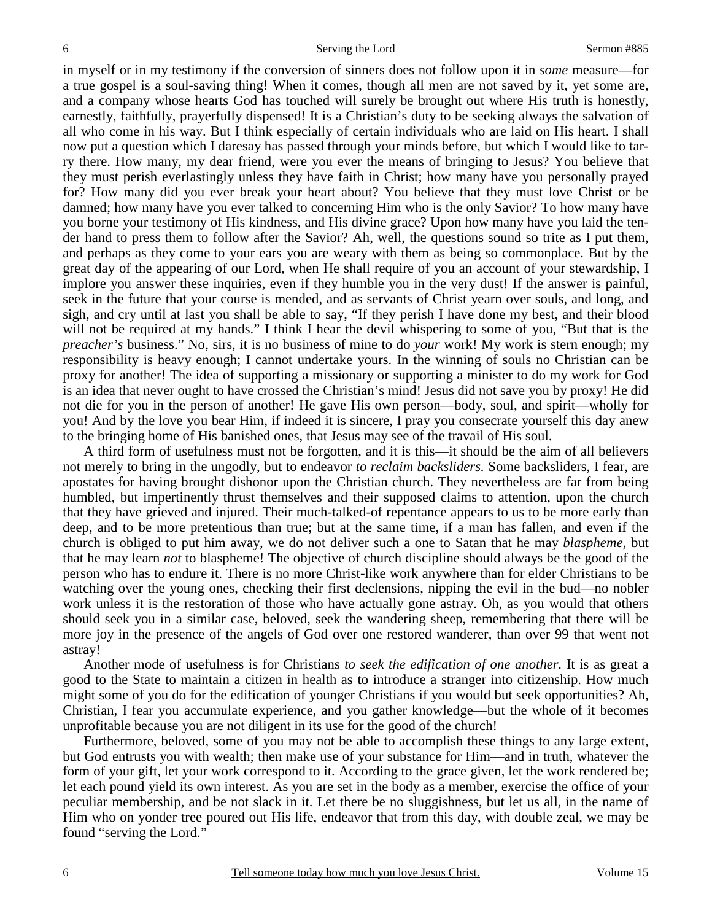in myself or in my testimony if the conversion of sinners does not follow upon it in *some* measure—for a true gospel is a soul-saving thing! When it comes, though all men are not saved by it, yet some are, and a company whose hearts God has touched will surely be brought out where His truth is honestly, earnestly, faithfully, prayerfully dispensed! It is a Christian's duty to be seeking always the salvation of all who come in his way. But I think especially of certain individuals who are laid on His heart. I shall now put a question which I daresay has passed through your minds before, but which I would like to tarry there. How many, my dear friend, were you ever the means of bringing to Jesus? You believe that they must perish everlastingly unless they have faith in Christ; how many have you personally prayed for? How many did you ever break your heart about? You believe that they must love Christ or be damned; how many have you ever talked to concerning Him who is the only Savior? To how many have you borne your testimony of His kindness, and His divine grace? Upon how many have you laid the tender hand to press them to follow after the Savior? Ah, well, the questions sound so trite as I put them, and perhaps as they come to your ears you are weary with them as being so commonplace. But by the great day of the appearing of our Lord, when He shall require of you an account of your stewardship, I implore you answer these inquiries, even if they humble you in the very dust! If the answer is painful, seek in the future that your course is mended, and as servants of Christ yearn over souls, and long, and sigh, and cry until at last you shall be able to say, "If they perish I have done my best, and their blood will not be required at my hands." I think I hear the devil whispering to some of you, "But that is the *preacher's* business." No, sirs, it is no business of mine to do *your* work! My work is stern enough; my responsibility is heavy enough; I cannot undertake yours. In the winning of souls no Christian can be proxy for another! The idea of supporting a missionary or supporting a minister to do my work for God is an idea that never ought to have crossed the Christian's mind! Jesus did not save you by proxy! He did not die for you in the person of another! He gave His own person—body, soul, and spirit—wholly for you! And by the love you bear Him, if indeed it is sincere, I pray you consecrate yourself this day anew to the bringing home of His banished ones, that Jesus may see of the travail of His soul.

 A third form of usefulness must not be forgotten, and it is this—it should be the aim of all believers not merely to bring in the ungodly, but to endeavor *to reclaim backsliders.* Some backsliders, I fear, are apostates for having brought dishonor upon the Christian church. They nevertheless are far from being humbled, but impertinently thrust themselves and their supposed claims to attention, upon the church that they have grieved and injured. Their much-talked-of repentance appears to us to be more early than deep, and to be more pretentious than true; but at the same time, if a man has fallen, and even if the church is obliged to put him away, we do not deliver such a one to Satan that he may *blaspheme*, but that he may learn *not* to blaspheme! The objective of church discipline should always be the good of the person who has to endure it. There is no more Christ-like work anywhere than for elder Christians to be watching over the young ones, checking their first declensions, nipping the evil in the bud—no nobler work unless it is the restoration of those who have actually gone astray. Oh, as you would that others should seek you in a similar case, beloved, seek the wandering sheep, remembering that there will be more joy in the presence of the angels of God over one restored wanderer, than over 99 that went not astray!

 Another mode of usefulness is for Christians *to seek the edification of one another.* It is as great a good to the State to maintain a citizen in health as to introduce a stranger into citizenship. How much might some of you do for the edification of younger Christians if you would but seek opportunities? Ah, Christian, I fear you accumulate experience, and you gather knowledge—but the whole of it becomes unprofitable because you are not diligent in its use for the good of the church!

 Furthermore, beloved, some of you may not be able to accomplish these things to any large extent, but God entrusts you with wealth; then make use of your substance for Him—and in truth, whatever the form of your gift, let your work correspond to it. According to the grace given, let the work rendered be; let each pound yield its own interest. As you are set in the body as a member, exercise the office of your peculiar membership, and be not slack in it. Let there be no sluggishness, but let us all, in the name of Him who on yonder tree poured out His life, endeavor that from this day, with double zeal, we may be found "serving the Lord."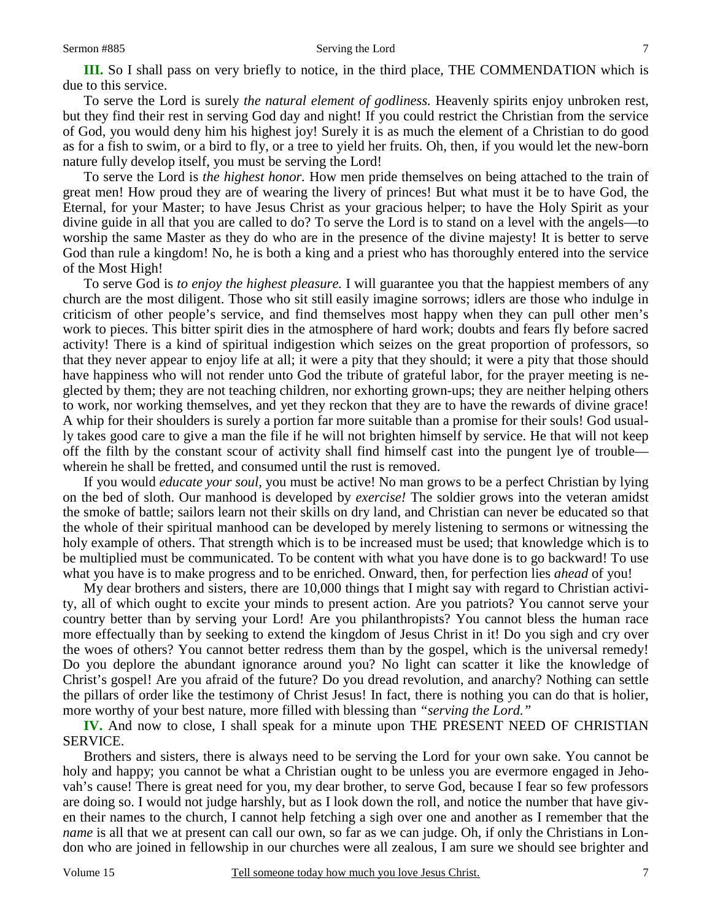To serve the Lord is surely *the natural element of godliness.* Heavenly spirits enjoy unbroken rest, but they find their rest in serving God day and night! If you could restrict the Christian from the service of God, you would deny him his highest joy! Surely it is as much the element of a Christian to do good as for a fish to swim, or a bird to fly, or a tree to yield her fruits. Oh, then, if you would let the new-born nature fully develop itself, you must be serving the Lord!

 To serve the Lord is *the highest honor.* How men pride themselves on being attached to the train of great men! How proud they are of wearing the livery of princes! But what must it be to have God, the Eternal, for your Master; to have Jesus Christ as your gracious helper; to have the Holy Spirit as your divine guide in all that you are called to do? To serve the Lord is to stand on a level with the angels—to worship the same Master as they do who are in the presence of the divine majesty! It is better to serve God than rule a kingdom! No, he is both a king and a priest who has thoroughly entered into the service of the Most High!

 To serve God is *to enjoy the highest pleasure.* I will guarantee you that the happiest members of any church are the most diligent. Those who sit still easily imagine sorrows; idlers are those who indulge in criticism of other people's service, and find themselves most happy when they can pull other men's work to pieces. This bitter spirit dies in the atmosphere of hard work; doubts and fears fly before sacred activity! There is a kind of spiritual indigestion which seizes on the great proportion of professors, so that they never appear to enjoy life at all; it were a pity that they should; it were a pity that those should have happiness who will not render unto God the tribute of grateful labor, for the prayer meeting is neglected by them; they are not teaching children, nor exhorting grown-ups; they are neither helping others to work, nor working themselves, and yet they reckon that they are to have the rewards of divine grace! A whip for their shoulders is surely a portion far more suitable than a promise for their souls! God usually takes good care to give a man the file if he will not brighten himself by service. He that will not keep off the filth by the constant scour of activity shall find himself cast into the pungent lye of trouble wherein he shall be fretted, and consumed until the rust is removed.

 If you would *educate your soul,* you must be active! No man grows to be a perfect Christian by lying on the bed of sloth. Our manhood is developed by *exercise!* The soldier grows into the veteran amidst the smoke of battle; sailors learn not their skills on dry land, and Christian can never be educated so that the whole of their spiritual manhood can be developed by merely listening to sermons or witnessing the holy example of others. That strength which is to be increased must be used; that knowledge which is to be multiplied must be communicated. To be content with what you have done is to go backward! To use what you have is to make progress and to be enriched. Onward, then, for perfection lies *ahead* of you!

 My dear brothers and sisters, there are 10,000 things that I might say with regard to Christian activity, all of which ought to excite your minds to present action. Are you patriots? You cannot serve your country better than by serving your Lord! Are you philanthropists? You cannot bless the human race more effectually than by seeking to extend the kingdom of Jesus Christ in it! Do you sigh and cry over the woes of others? You cannot better redress them than by the gospel, which is the universal remedy! Do you deplore the abundant ignorance around you? No light can scatter it like the knowledge of Christ's gospel! Are you afraid of the future? Do you dread revolution, and anarchy? Nothing can settle the pillars of order like the testimony of Christ Jesus! In fact, there is nothing you can do that is holier, more worthy of your best nature, more filled with blessing than *"serving the Lord."*

**IV.** And now to close, I shall speak for a minute upon THE PRESENT NEED OF CHRISTIAN SERVICE.

 Brothers and sisters, there is always need to be serving the Lord for your own sake. You cannot be holy and happy; you cannot be what a Christian ought to be unless you are evermore engaged in Jehovah's cause! There is great need for you, my dear brother, to serve God, because I fear so few professors are doing so. I would not judge harshly, but as I look down the roll, and notice the number that have given their names to the church, I cannot help fetching a sigh over one and another as I remember that the *name* is all that we at present can call our own, so far as we can judge. Oh, if only the Christians in London who are joined in fellowship in our churches were all zealous, I am sure we should see brighter and